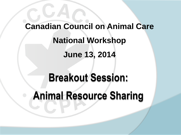# **Breakout Session: Animal Resource Sharing Canadian Council on Animal Care National Workshop June 13, 2014**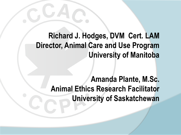#### **Richard J. Hodges, DVM Cert. LAM Director, Animal Care and Use Program University of Manitoba**

**Amanda Plante, M.Sc. Animal Ethics Research Facilitator University of Saskatchewan**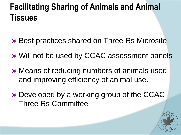### **Facilitating Sharing of Animals and Animal Tissues**

- **Best practices shared on Three Rs Microsite**
- Will not be used by CCAC assessment panels
- Means of reducing numbers of animals used and improving efficiency of animal use.
- Developed by a working group of the CCAC Three Rs Committee

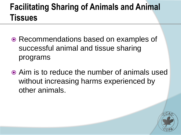### **Facilitating Sharing of Animals and Animal Tissues**

- Recommendations based on examples of successful animal and tissue sharing programs
- Aim is to reduce the number of animals used without increasing harms experienced by other animals.

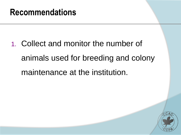1. Collect and monitor the number of animals used for breeding and colony maintenance at the institution.

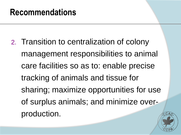2. Transition to centralization of colony management responsibilities to animal care facilities so as to: enable precise tracking of animals and tissue for sharing; maximize opportunities for use of surplus animals; and minimize overproduction.

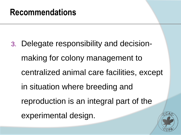3. Delegate responsibility and decisionmaking for colony management to centralized animal care facilities, except in situation where breeding and reproduction is an integral part of the experimental design.

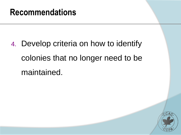4. Develop criteria on how to identify colonies that no longer need to be maintained.

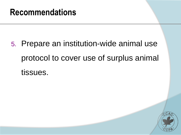5. Prepare an institution-wide animal use protocol to cover use of surplus animal tissues.

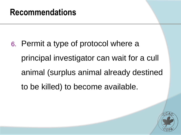6. Permit a type of protocol where a principal investigator can wait for a cull animal (surplus animal already destined to be killed) to become available.

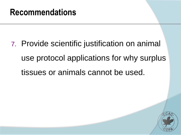7. Provide scientific justification on animal use protocol applications for why surplus tissues or animals cannot be used.

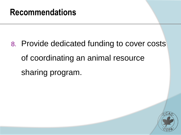8. Provide dedicated funding to cover costs of coordinating an animal resource sharing program.

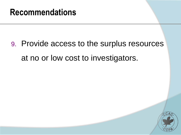9. Provide access to the surplus resources at no or low cost to investigators.

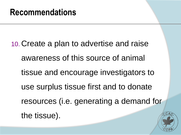10. Create a plan to advertise and raise awareness of this source of animal tissue and encourage investigators to use surplus tissue first and to donate resources (i.e. generating a demand for the tissue).